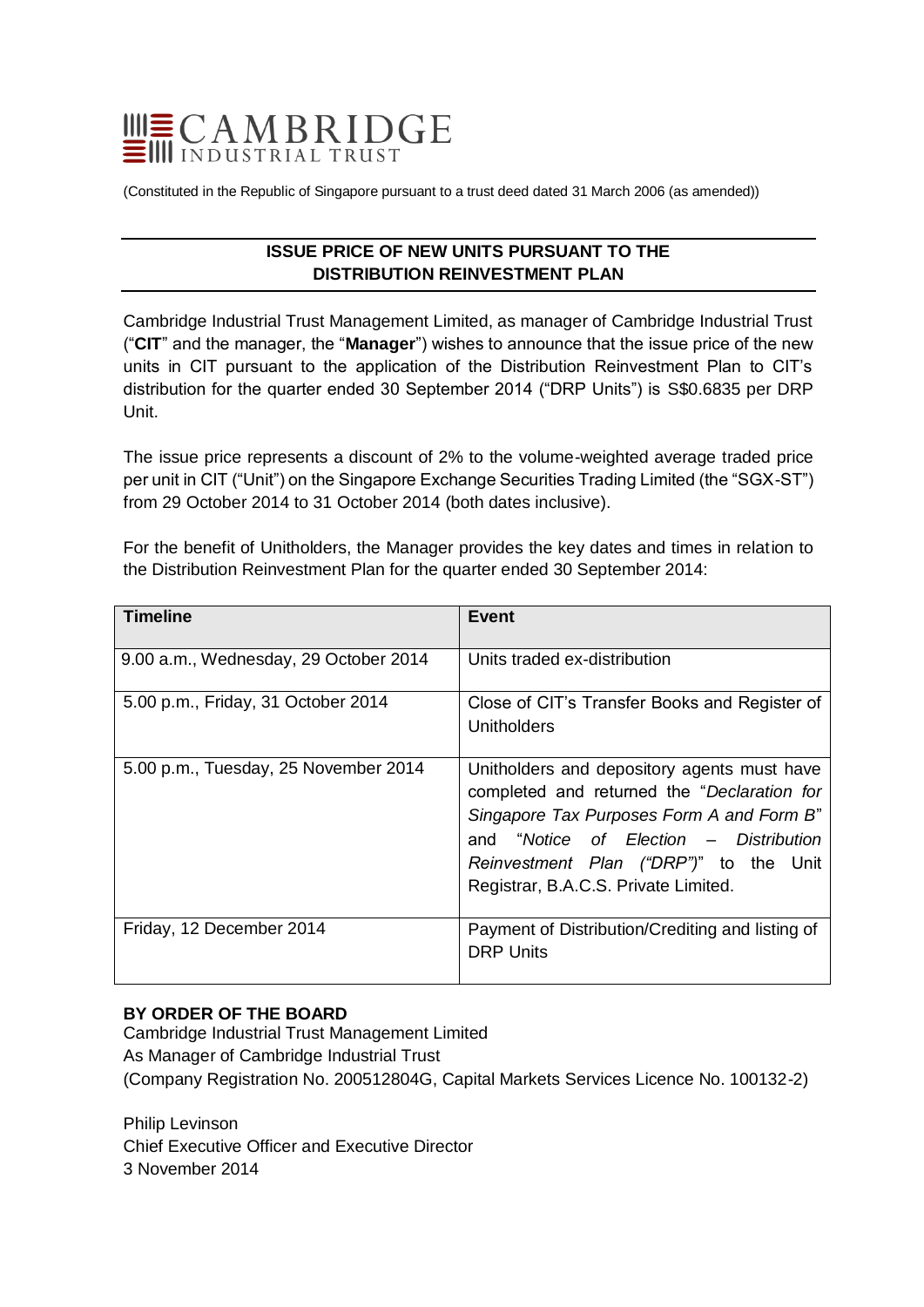

(Constituted in the Republic of Singapore pursuant to a trust deed dated 31 March 2006 (as amended))

# **ISSUE PRICE OF NEW UNITS PURSUANT TO THE DISTRIBUTION REINVESTMENT PLAN**

Cambridge Industrial Trust Management Limited, as manager of Cambridge Industrial Trust ("**CIT**" and the manager, the "**Manager**") wishes to announce that the issue price of the new units in CIT pursuant to the application of the Distribution Reinvestment Plan to CIT's distribution for the quarter ended 30 September 2014 ("DRP Units") is S\$0.6835 per DRP Unit.

The issue price represents a discount of 2% to the volume-weighted average traded price per unit in CIT ("Unit") on the Singapore Exchange Securities Trading Limited (the "SGX-ST") from 29 October 2014 to 31 October 2014 (both dates inclusive).

For the benefit of Unitholders, the Manager provides the key dates and times in relation to the Distribution Reinvestment Plan for the quarter ended 30 September 2014:

| <b>Timeline</b>                       | Event                                                                                                                                                                                                                                                               |
|---------------------------------------|---------------------------------------------------------------------------------------------------------------------------------------------------------------------------------------------------------------------------------------------------------------------|
| 9.00 a.m., Wednesday, 29 October 2014 | Units traded ex-distribution                                                                                                                                                                                                                                        |
| 5.00 p.m., Friday, 31 October 2014    | Close of CIT's Transfer Books and Register of<br>Unitholders                                                                                                                                                                                                        |
| 5.00 p.m., Tuesday, 25 November 2014  | Unitholders and depository agents must have<br>completed and returned the "Declaration for<br>Singapore Tax Purposes Form A and Form B"<br>and "Notice of Election – Distribution<br>Reinvestment Plan ("DRP")" to the Unit<br>Registrar, B.A.C.S. Private Limited. |
| Friday, 12 December 2014              | Payment of Distribution/Crediting and listing of<br><b>DRP Units</b>                                                                                                                                                                                                |

### **BY ORDER OF THE BOARD**

Cambridge Industrial Trust Management Limited As Manager of Cambridge Industrial Trust (Company Registration No. 200512804G, Capital Markets Services Licence No. 100132-2)

Philip Levinson Chief Executive Officer and Executive Director 3 November 2014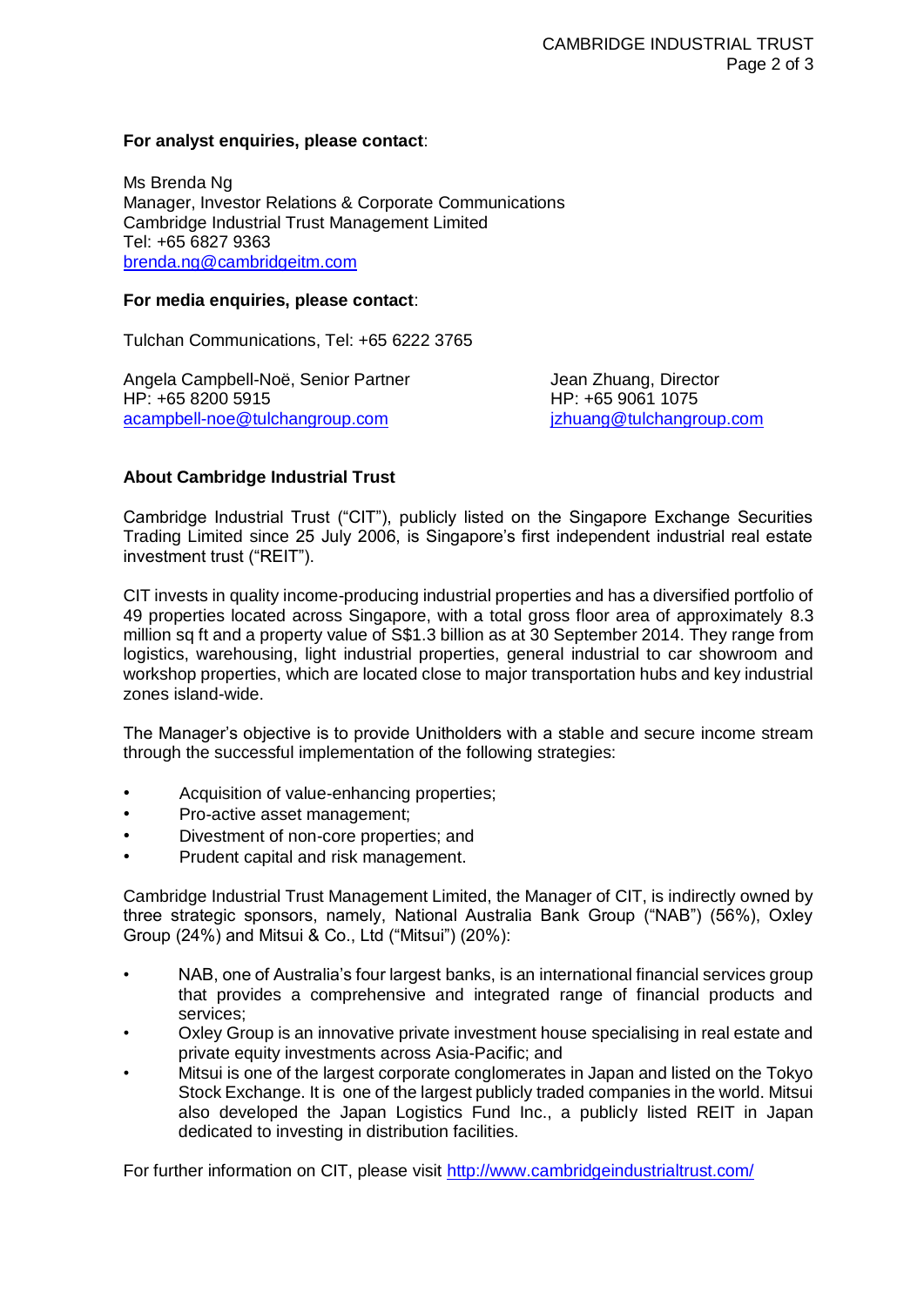#### **For analyst enquiries, please contact**:

Ms Brenda Ng Manager, Investor Relations & Corporate Communications Cambridge Industrial Trust Management Limited Tel: +65 6827 9363 [brenda.ng@cambridgeitm.com](mailto:brenda.ng@cambridgeitm.com)

#### **For media enquiries, please contact**:

Tulchan Communications, Tel: +65 6222 3765

Angela Campbell-Noë, Senior Partner Theodyne Handela Zhuang, Director HP: +65 8200 5915 HP: +65 9061 1075 [acampbell-noe@tulchangroup.com](mailto:acampbell-noe@tulchangroup.com) [jzhuang@tulchangroup.com](mailto:jzhuang@tulchangroup.com)

## **About Cambridge Industrial Trust**

Cambridge Industrial Trust ("CIT"), publicly listed on the Singapore Exchange Securities Trading Limited since 25 July 2006, is Singapore's first independent industrial real estate investment trust ("REIT").

CIT invests in quality income-producing industrial properties and has a diversified portfolio of 49 properties located across Singapore, with a total gross floor area of approximately 8.3 million sq ft and a property value of S\$1.3 billion as at 30 September 2014. They range from logistics, warehousing, light industrial properties, general industrial to car showroom and workshop properties, which are located close to major transportation hubs and key industrial zones island-wide.

The Manager's objective is to provide Unitholders with a stable and secure income stream through the successful implementation of the following strategies:

- Acquisition of value-enhancing properties;
- Pro-active asset management;
- Divestment of non-core properties; and
- Prudent capital and risk management.

Cambridge Industrial Trust Management Limited, the Manager of CIT, is indirectly owned by three strategic sponsors, namely, National Australia Bank Group ("NAB") (56%), Oxley Group (24%) and Mitsui & Co., Ltd ("Mitsui") (20%):

- NAB, one of Australia's four largest banks, is an international financial services group that provides a comprehensive and integrated range of financial products and services;
- Oxley Group is an innovative private investment house specialising in real estate and private equity investments across Asia-Pacific; and
- Mitsui is one of the largest corporate conglomerates in Japan and listed on the Tokyo Stock Exchange. It is one of the largest publicly traded companies in the world. Mitsui also developed the Japan Logistics Fund Inc., a publicly listed REIT in Japan dedicated to investing in distribution facilities.

For further information on CIT, please visit<http://www.cambridgeindustrialtrust.com/>